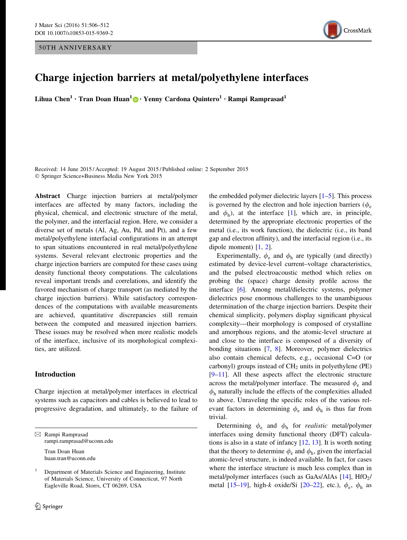50TH ANNIVERSARY



# Charge injection barriers at metal/polyethylene interfaces

Lihua Chen<sup>1</sup> [•](http://orcid.org/0000-0002-8093-9426) Tran Doan Huan<sup>1</sup> • Yenny Cardona Quintero<sup>1</sup> • Rampi Ramprasad<sup>1</sup>

Received: 14 June 2015 / Accepted: 19 August 2015 / Published online: 2 September 2015 - Springer Science+Business Media New York 2015

Abstract Charge injection barriers at metal/polymer interfaces are affected by many factors, including the physical, chemical, and electronic structure of the metal, the polymer, and the interfacial region. Here, we consider a diverse set of metals (Al, Ag, Au, Pd, and Pt), and a few metal/polyethylene interfacial configurations in an attempt to span situations encountered in real metal/polyethylene systems. Several relevant electronic properties and the charge injection barriers are computed for these cases using density functional theory computations. The calculations reveal important trends and correlations, and identify the favored mechanism of charge transport (as mediated by the charge injection barriers). While satisfactory correspondences of the computations with available measurements are achieved, quantitative discrepancies still remain between the computed and measured injection barriers. These issues may be resolved when more realistic models of the interface, inclusive of its morphological complexities, are utilized.

## Introduction

Charge injection at metal/polymer interfaces in electrical systems such as capacitors and cables is believed to lead to progressive degradation, and ultimately, to the failure of

 $\boxtimes$  Rampi Ramprasad rampi.ramprasad@uconn.edu Tran Doan Huan huan.tran@uconn.edu

the embedded polymer dielectric layers  $[1–5]$  $[1–5]$ . This process is governed by the electron and hole injection barriers ( $\phi_e$ ) and  $\phi_h$ ), at the interface [[1\]](#page-5-0), which are, in principle, determined by the appropriate electronic properties of the metal (i.e., its work function), the dielectric (i.e., its band gap and electron affinity), and the interfacial region (i.e., its dipole moment) [\[1](#page-5-0), [2](#page-5-0)].

Experimentally,  $\phi_e$  and  $\phi_h$  are typically (and directly) estimated by device-level current–voltage characteristics, and the pulsed electroacoustic method which relies on probing the (space) charge density profile across the interface [\[6](#page-5-0)]. Among metal/dielectric systems, polymer dielectrics pose enormous challenges to the unambiguous determination of the charge injection barriers. Despite their chemical simplicity, polymers display significant physical complexity—their morphology is composed of crystalline and amorphous regions, and the atomic-level structure at and close to the interface is composed of a diversity of bonding situations [\[7](#page-5-0), [8](#page-5-0)]. Moreover, polymer dielectrics also contain chemical defects, e.g., occasional C=O (or carbonyl) groups instead of  $CH<sub>2</sub>$  units in polyethylene (PE) [\[9–11](#page-5-0)]. All these aspects affect the electronic structure across the metal/polymer interface. The measured  $\phi_e$  and  $\phi_h$  naturally include the effects of the complexities alluded to above. Unraveling the specific roles of the various relevant factors in determining  $\phi_e$  and  $\phi_h$  is thus far from trivial.

Determining  $\phi_e$  and  $\phi_h$  for *realistic* metal/polymer interfaces using density functional theory (DFT) calculations is also in a state of infancy [\[12](#page-5-0), [13](#page-5-0)]. It is worth noting that the theory to determine  $\phi_e$  and  $\phi_h$ , given the interfacial atomic-level structure, is indeed available. In fact, for cases where the interface structure is much less complex than in metal/polymer interfaces (such as GaAs/AlAs  $[14]$  $[14]$ , HfO<sub>2</sub>/ metal [\[15–19](#page-5-0)], high-k oxide/Si [\[20–22](#page-5-0)], etc.),  $\phi_e$ ,  $\phi_h$  as

<sup>1</sup> Department of Materials Science and Engineering, Institute of Materials Science, University of Connecticut, 97 North Eagleville Road, Storrs, CT 06269, USA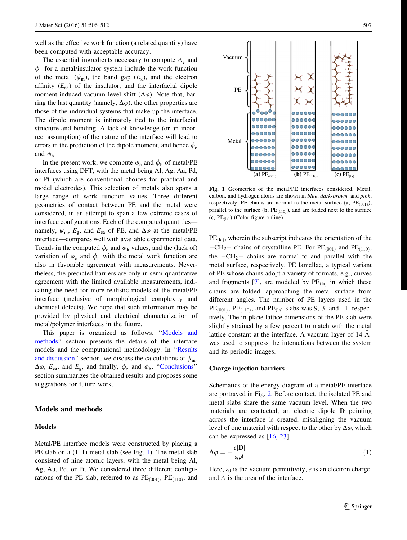<span id="page-1-0"></span>well as the effective work function (a related quantity) have been computed with acceptable accuracy.

The essential ingredients necessary to compute  $\phi_e$  and  $\phi_h$  for a metal/insulator system include the work function of the metal  $(\psi_m)$ , the band gap  $(E_g)$ , and the electron affinity  $(E_{ea})$  of the insulator, and the interfacial dipole moment-induced vacuum level shift  $(\Delta \varphi)$ . Note that, barring the last quantity (namely,  $\Delta\varphi$ ), the other properties are those of the individual systems that make up the interface. The dipole moment is intimately tied to the interfacial structure and bonding. A lack of knowledge (or an incorrect assumption) of the nature of the interface will lead to errors in the prediction of the dipole moment, and hence  $\phi_e$ and  $\phi_h$ .

In the present work, we compute  $\phi_e$  and  $\phi_h$  of metal/PE interfaces using DFT, with the metal being Al, Ag, Au, Pd, or Pt (which are conventional choices for practical and model electrodes). This selection of metals also spans a large range of work function values. Three different geometries of contact between PE and the metal were considered, in an attempt to span a few extreme cases of interface configurations. Each of the computed quantities namely,  $\psi_m$ ,  $E_g$ , and  $E_{ea}$  of PE, and  $\Delta\varphi$  at the metal/PE interface—compares well with available experimental data. Trends in the computed  $\phi_e$  and  $\phi_h$  values, and the (lack of) variation of  $\phi_e$  and  $\phi_h$  with the metal work function are also in favorable agreement with measurements. Nevertheless, the predicted barriers are only in semi-quantitative agreement with the limited available measurements, indicating the need for more realistic models of the metal/PE interface (inclusive of morphological complexity and chemical defects). We hope that such information may be provided by physical and electrical characterization of metal/polymer interfaces in the future.

This paper is organized as follows. ''Models and methods'' section presents the details of the interface models and the computational methodology. In ''[Results](#page-2-0) and discussion" section, we discuss the calculations of  $\psi_m$ ,  $\Delta \varphi$ ,  $E_{ea}$ , and  $E_{g}$ , and finally,  $\phi_{e}$  and  $\phi_{h}$ . "Conclusions" section summarizes the obtained results and proposes some suggestions for future work.

## Models and methods

## Models

Metal/PE interface models were constructed by placing a PE slab on a (111) metal slab (see Fig. 1). The metal slab consisted of nine atomic layers, with the metal being Al, Ag, Au, Pd, or Pt. We considered three different configurations of the PE slab, referred to as  $PE_{(001)}$ ,  $PE_{(110)}$ , and



Fig. 1 Geometries of the metal/PE interfaces considered. Metal, carbon, and hydrogen atoms are shown in blue, dark-brown, and pink, respectively. PE chains are normal to the metal surface  $(a, PE_{(001)}),$ parallel to the surface (**b**,  $PE_{(110)}$ ), and are folded next to the surface  $(c, PE_{(1a)})$  (Color figure online)

 $PE<sub>(la)</sub>$ , wherein the subscript indicates the orientation of the  $-CH_2$  chains of crystalline PE. For PE<sub>(001)</sub> and PE<sub>(110)</sub>, the  $-CH_2$ - chains are normal to and parallel with the metal surface, respectively. PE lamellae, a typical variant of PE whose chains adopt a variety of formats, e.g., curves and fragments [\[7](#page-5-0)], are modeled by  $PE_{(la)}$  in which these chains are folded, approaching the metal surface from different angles. The number of PE layers used in the  $PE_{(001)}$ ,  $PE_{(110)}$ , and  $PE_{(1a)}$  slabs was 9, 3, and 11, respectively. The in-plane lattice dimensions of the PE slab were slightly strained by a few percent to match with the metal lattice constant at the interface. A vacuum layer of  $14 \text{ Å}$ was used to suppress the interactions between the system and its periodic images.

## Charge injection barriers

Schematics of the energy diagram of a metal/PE interface are portrayed in Fig. [2.](#page-2-0) Before contact, the isolated PE and metal slabs share the same vacuum level. When the two materials are contacted, an electric dipole D pointing across the interface is created, misaligning the vacuum level of one material with respect to the other by  $\Delta\varphi$ , which can be expressed as [[16,](#page-5-0) [23\]](#page-5-0)

$$
\Delta \varphi = -\frac{e|\mathbf{D}|}{\varepsilon_0 A}.\tag{1}
$$

Here,  $\varepsilon_0$  is the vacuum permittivity, e is an electron charge, and A is the area of the interface.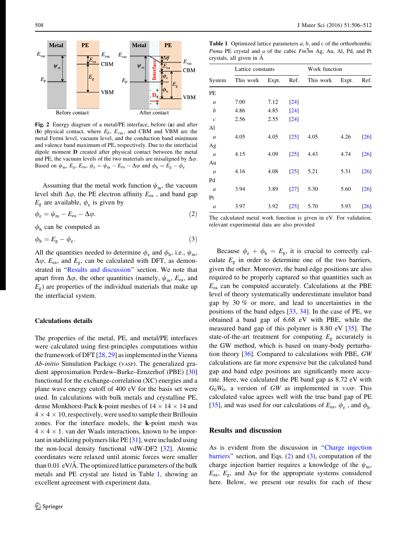<span id="page-2-0"></span>

Fig. 2 Energy diagram of a metal/PE interface, before (a) and after (b) physical contact, where  $E_F$ ,  $E_{\text{vac}}$ , and CBM and VBM are the metal Fermi level, vacuum level, and the conduction band minimum and valence band maximum of PE, respectively. Due to the interfacial dipole moment D created after physical contact between the metal and PE, the vacuum levels of the two materials are misaligned by  $\Delta \varphi$ . Based on  $\psi_m$ ,  $E_g$ ,  $E_{ea}$ ,  $\phi_e = \psi_m - E_{ea} - \Delta \varphi$  and  $\phi_h = E_g - \phi_e$ 

Assuming that the metal work function  $\psi_m$ , the vacuum level shift  $\Delta\varphi$ , the PE electron affinity  $E_{ea}$ , and band gap  $E_g$  are available,  $\phi_e$  is given by

$$
\phi_{\rm e} = \psi_{\rm m} - E_{\rm ea} - \Delta \varphi. \tag{2}
$$

 $\phi_h$  can be computed as

$$
\phi_{\rm h} = E_{\rm g} - \phi_{\rm e}.\tag{3}
$$

All the quantities needed to determine  $\phi_e$  and  $\phi_h$ , i.e.,  $\psi_m$ ,  $\Delta \varphi$ ,  $E_{ea}$ , and  $E_{g}$ , can be calculated with DFT, as demonstrated in "Results and discussion" section. We note that apart from  $\Delta\varphi$ , the other quantities (namely,  $\psi_m$ ,  $E_{ea}$ , and  $E<sub>g</sub>$ ) are properties of the individual materials that make up the interfacial system.

#### Calculations details

The properties of the metal, PE, and metal/PE interfaces were calculated using first-principles computations within the framework of DFT [\[28](#page-5-0), [29](#page-5-0)] as implemented in the Vienna Ab-initio Simulation Package (VASP). The generalized gradient approximation Perdew–Burke–Ernzerhof (PBE) [[30\]](#page-5-0) functional for the exchange-correlation (XC) energies and a plane wave energy cutoff of 400 eV for the basis set were used. In calculations with bulk metals and crystalline PE, dense Monkhorst-Pack k-point meshes of  $14 \times 14 \times 14$  and  $4 \times 4 \times 10$ , respectively, were used to sample their Brillouin zones. For the interface models, the k-point mesh was  $4 \times 4 \times 1$ . van der Waals interactions, known to be important in stabilizing polymers like PE [[31\]](#page-5-0), were included using the non-local density functional vdW-DF2 [[32](#page-5-0)]. Atomic coordinates were relaxed until atomic forces were smaller than  $0.01 \text{ eV/A}$ . The optimized lattice parameters of the bulk metals and PE crystal are listed in Table 1, showing an excellent agreement with experiment data.

Table 1 Optimized lattice parameters  $a$ ,  $b$ , and  $c$  of the orthorhombic Pnma PE crystal and a of the cubic  $Fm\overline{3}m$  Ag, Au, Al, Pd, and Pt crystals, all given in  $\AA$ 

| System                  | Lattice constants |       |                               | Work function |       |                    |
|-------------------------|-------------------|-------|-------------------------------|---------------|-------|--------------------|
|                         | This work         | Expt. | Ref.                          | This work     | Expt. | Ref.               |
| PE                      |                   |       |                               |               |       |                    |
| a                       | 7.00              | 7.12  | $\left\lceil 24 \right\rceil$ |               |       |                    |
| b                       | 4.86              | 4.85  | $\left[24\right]$             |               |       |                    |
| $\mathcal{C}_{0}^{(n)}$ | 2.56              | 2.55  | $\left[24\right]$             |               |       |                    |
| Al                      |                   |       |                               |               |       |                    |
| $\boldsymbol{a}$        | 4.05              | 4.05  | $\left[25\right]$             | 4.05          | 4.26  | $\lceil 26 \rceil$ |
| Ag                      |                   |       |                               |               |       |                    |
| $\boldsymbol{a}$        | 4.15              | 4.09  | $\lceil 25 \rceil$            | 4.43          | 4.74  | [26]               |
| Au                      |                   |       |                               |               |       |                    |
| $\boldsymbol{a}$        | 4.16              | 4.08  | $\left[25\right]$             | 5.21          | 5.31  | $\lceil 26 \rceil$ |
| Pd                      |                   |       |                               |               |       |                    |
| $\overline{a}$          | 3.94              | 3.89  | $\left[27\right]$             | 5.30          | 5.60  | $\lceil 26 \rceil$ |
| Pt                      |                   |       |                               |               |       |                    |
| $\boldsymbol{a}$        | 3.97              | 3.92  | $\left[25\right]$             | 5.70          | 5.93  | $\lceil 26 \rceil$ |
|                         |                   |       |                               |               |       |                    |

The calculated metal work function is given in eV. For validation, relevant experimental data are also provided

Because  $\phi_e + \phi_h = E_g$ , it is crucial to correctly calculate  $E_g$  in order to determine one of the two barriers, given the other. Moreover, the band edge positions are also required to be properly captured so that quantities such as  $E_{ea}$  can be computed accurately. Calculations at the PBE level of theory systematically underestimate insulator band gap by 30 % or more, and lead to uncertainties in the positions of the band edges [\[33](#page-5-0), [34\]](#page-5-0). In the case of PE, we obtained a band gap of 6.68 eV with PBE, while the measured band gap of this polymer is 8.80 eV [[35\]](#page-5-0). The state-of-the-art treatment for computing  $E_{\rm g}$  accurately is the GW method, which is based on many-body perturbation theory [\[36](#page-5-0)]. Compared to calculations with PBE, GW calculations are far more expensive but the calculated band gap and band edge positions are significantly more accurate. Here, we calculated the PE band gap as 8.72 eV with  $G_0W_0$ , a version of GW as implemented in vasp. This calculated value agrees well with the true band gap of PE [\[35](#page-5-0)], and was used for our calculations of  $E_{ea}$ ,  $\phi_e$ , and  $\phi_h$ .

## Results and discussion

As is evident from the discussion in '['Charge injection](#page-1-0) [barriers'](#page-1-0)' section, and Eqs. (2) and (3), computation of the charge injection barrier requires a knowledge of the  $\psi_m$ ,  $E_{\text{ea}}$ ,  $E_{\text{g}}$ , and  $\Delta\varphi$  for the appropriate systems considered here. Below, we present our results for each of these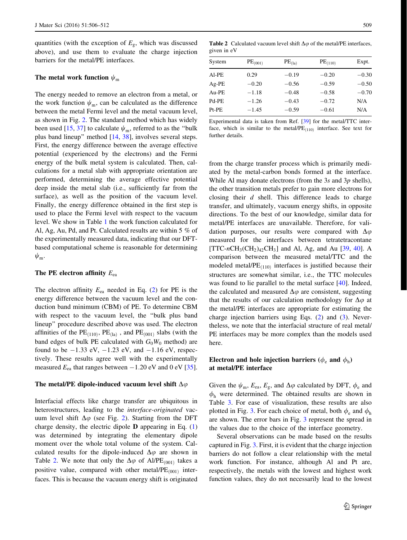quantities (with the exception of  $E_g$ , which was discussed above), and use them to evaluate the charge injection barriers for the metal/PE interfaces.

# The metal work function  $\psi_{\rm m}$

The energy needed to remove an electron from a metal, or the work function  $\psi_m$ , can be calculated as the difference between the metal Fermi level and the metal vacuum level, as shown in Fig. [2](#page-2-0). The standard method which has widely been used [[15,](#page-5-0) [37](#page-5-0)] to calculate  $\psi_m$ , referred to as the "bulk" plus band lineup'' method [[14,](#page-5-0) [38](#page-5-0)], involves several steps. First, the energy difference between the average effective potential (experienced by the electrons) and the Fermi energy of the bulk metal system is calculated. Then, calculations for a metal slab with appropriate orientation are performed, determining the average effective potential deep inside the metal slab (i.e., sufficiently far from the surface), as well as the position of the vacuum level. Finally, the energy difference obtained in the first step is used to place the Fermi level with respect to the vacuum level. We show in Table [1](#page-2-0) the work function calculated for Al, Ag, Au, Pd, and Pt. Calculated results are within 5 % of the experimentally measured data, indicating that our DFTbased computational scheme is reasonable for determining  $\psi_{\rm m}$ .

## The PE electron affinity  $E_{ea}$

The electron affinity  $E_{ea}$  needed in Eq. [\(2](#page-2-0)) for PE is the energy difference between the vacuum level and the conduction band minimum (CBM) of PE. To determine CBM with respect to the vacuum level, the ''bulk plus band lineup'' procedure described above was used. The electron affinities of the  $PE_{(110)}$ ,  $PE_{(1a)}$ , and  $PE_{(001)}$  slabs (with the band edges of bulk PE calculated with  $G_0W_0$  method) are found to be  $-1.33$  eV,  $-1.23$  eV, and  $-1.16$  eV, respectively. These results agree well with the experimentally measured  $E_{ea}$  that ranges between  $-1.20$  eV and 0 eV [\[35](#page-5-0)].

#### The metal/PE dipole-induced vacuum level shift  $\Delta\varphi$

Interfacial effects like charge transfer are ubiquitous in heterostructures, leading to the *interface-originated* vacuum level shift  $\Delta\varphi$  (see Fig. [2](#page-2-0)). Starting from the DFT charge density, the electric dipole  **appearing in Eq. ([1\)](#page-1-0)** was determined by integrating the elementary dipole moment over the whole total volume of the system. Calculated results for the dipole-induced  $\Delta\varphi$  are shown in Table 2. We note that only the  $\Delta\varphi$  of Al/PE<sub>(001)</sub> takes a positive value, compared with other metal/ $PE_{(001)}$  interfaces. This is because the vacuum energy shift is originated

**Table 2** Calculated vacuum level shift  $\Delta \varphi$  of the metal/PE interfaces, given in eV

| System  | $PE_{(001)}$ | $PE$ <sub>(la)</sub> | $PE$ <sub>(110)</sub> | Expt.   |
|---------|--------------|----------------------|-----------------------|---------|
| Al-PE   | 0.29         | $-0.19$              | $-0.20$               | $-0.30$ |
| $Ag-PE$ | $-0.20$      | $-0.56$              | $-0.59$               | $-0.50$ |
| $Au-PE$ | $-1.18$      | $-0.48$              | $-0.58$               | $-0.70$ |
| Pd-PE   | $-1.26$      | $-0.43$              | $-0.72$               | N/A     |
| Pt-PE   | $-1.45$      | $-0.59$              | $-0.61$               | N/A     |

Experimental data is taken from Ref. [[39](#page-5-0)] for the metal/TTC interface, which is similar to the metal/ $PE$ <sub>(110)</sub> interface. See text for further details.

from the charge transfer process which is primarily mediated by the metal-carbon bonds formed at the interface. While Al may donate electrons (from the  $3s$  and  $3p$  shells), the other transition metals prefer to gain more electrons for closing their d shell. This difference leads to charge transfer, and ultimately, vacuum energy shifts, in opposite directions. To the best of our knowledge, similar data for metal/PE interfaces are unavailable. Therefore, for validation purposes, our results were compared with  $\Delta \varphi$ measured for the interfaces between tetratetracontane  $[TTC-nCH<sub>3</sub>(CH<sub>2</sub>)<sub>42</sub>CH<sub>3</sub>]$  and Al, Ag, and Au [\[39](#page-5-0), [40\]](#page-6-0). A comparison between the measured metal/TTC and the modeled metal/ $PE_{(110)}$  interfaces is justified because their structures are somewhat similar, i.e., the TTC molecules was found to lie parallel to the metal surface [[40\]](#page-6-0). Indeed, the calculated and measured  $\Delta\varphi$  are consistent, suggesting that the results of our calculation methodology for  $\Delta\varphi$  at the metal/PE interfaces are appropriate for estimating the charge injection barriers using Eqs. [\(2](#page-2-0)) and ([3\)](#page-2-0). Nevertheless, we note that the interfacial structure of real metal/ PE interfaces may be more complex than the models used here.

# Electron and hole injection barriers ( $\phi_e$  and  $\phi_h$ ) at metal/PE interface

Given the  $\psi_{\rm m}$ ,  $E_{\rm ea}$ ,  $E_{\rm g}$ , and  $\Delta \varphi$  calculated by DFT,  $\phi_{\rm e}$  and  $\phi_h$  were determined. The obtained results are shown in Table [3](#page-4-0). For ease of visualization, these results are also plotted in Fig. [3](#page-4-0). For each choice of metal, both  $\phi_e$  and  $\phi_h$ are shown. The error bars in Fig. [3](#page-4-0) represent the spread in the values due to the choice of the interface geometry.

Several observations can be made based on the results captured in Fig. [3.](#page-4-0) First, it is evident that the charge injection barriers do not follow a clear relationship with the metal work function. For instance, although Al and Pt are, respectively, the metals with the lowest and highest work function values, they do not necessarily lead to the lowest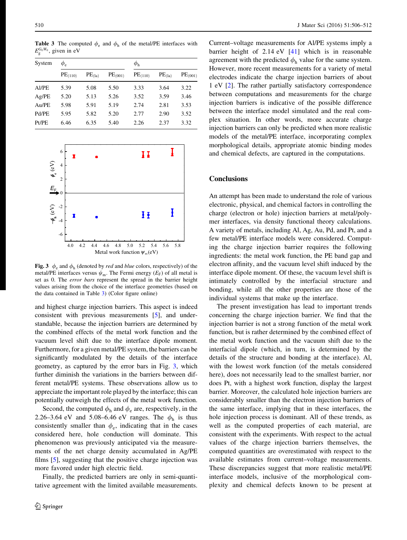<span id="page-4-0"></span>**Table 3** The computed  $\phi_e$  and  $\phi_h$  of the metal/PE interfaces with  $E_{\rm g}^{G_0W_0}$ , given in eV

| System | $\phi_e$     |                      |              | $\phi_{h}$   |                      |              |
|--------|--------------|----------------------|--------------|--------------|----------------------|--------------|
|        | $PE_{(110)}$ | $PE$ <sub>(la)</sub> | $PE_{(001)}$ | $PE_{(110)}$ | $PE$ <sub>(la)</sub> | $PE_{(001)}$ |
| Al/PE  | 5.39         | 5.08                 | 5.50         | 3.33         | 3.64                 | 3.22         |
| Ag/PE  | 5.20         | 5.13                 | 5.26         | 3.52         | 3.59                 | 3.46         |
| Au/PE  | 5.98         | 5.91                 | 5.19         | 2.74         | 2.81                 | 3.53         |
| Pd/PE  | 5.95         | 5.82                 | 5.20         | 2.77         | 2.90                 | 3.52         |
| Pt/PE  | 6.46         | 6.35                 | 5.40         | 2.26         | 2.37                 | 3.32         |



Fig. 3  $\phi_e$  and  $\phi_h$  (denoted by *red* and *blue* colors, respectively) of the metal/PE interfaces versus  $\psi_m$ . The Fermi energy ( $E_F$ ) of all metal is set as 0. The error bars represent the spread in the barrier height values arising from the choice of the interface geometries (based on the data contained in Table 3) (Color figure online)

and highest charge injection barriers. This aspect is indeed consistent with previous measurements [\[5](#page-5-0)], and understandable, because the injection barriers are determined by the combined effects of the metal work function and the vacuum level shift due to the interface dipole moment. Furthermore, for a given metal/PE system, the barriers can be significantly modulated by the details of the interface geometry, as captured by the error bars in Fig. 3, which further diminish the variations in the barriers between different metal/PE systems. These observations allow us to appreciate the important role played by the interface; this can potentially outweigh the effects of the metal work function.

Second, the computed  $\phi_h$  and  $\phi_e$  are, respectively, in the 2.26–3.64 eV and 5.08–6.46 eV ranges. The  $\phi_h$  is thus consistently smaller than  $\phi_e$ , indicating that in the cases considered here, hole conduction will dominate. This phenomenon was previously anticipated via the measurements of the net charge density accumulated in Ag/PE films [\[5](#page-5-0)], suggesting that the positive charge injection was more favored under high electric field.

Finally, the predicted barriers are only in semi-quantitative agreement with the limited available measurements.

Current–voltage measurements for Al/PE systems imply a barrier height of 2.14 eV [[41\]](#page-6-0) which is in reasonable agreement with the predicted  $\phi_h$  value for the same system. However, more recent measurements for a variety of metal electrodes indicate the charge injection barriers of about 1 eV [\[2](#page-5-0)]. The rather partially satisfactory correspondence between computations and measurements for the charge injection barriers is indicative of the possible difference between the interface model simulated and the real complex situation. In other words, more accurate charge injection barriers can only be predicted when more realistic models of the metal/PE interface, incorporating complex morphological details, appropriate atomic binding modes and chemical defects, are captured in the computations.

## **Conclusions**

An attempt has been made to understand the role of various electronic, physical, and chemical factors in controlling the charge (electron or hole) injection barriers at metal/polymer interfaces, via density functional theory calculations. A variety of metals, including Al, Ag, Au, Pd, and Pt, and a few metal/PE interface models were considered. Computing the charge injection barrier requires the following ingredients: the metal work function, the PE band gap and electron affinity, and the vacuum level shift induced by the interface dipole moment. Of these, the vacuum level shift is intimately controlled by the interfacial structure and bonding, while all the other properties are those of the individual systems that make up the interface.

The present investigation has lead to important trends concerning the charge injection barrier. We find that the injection barrier is not a strong function of the metal work function, but is rather determined by the combined effect of the metal work function and the vacuum shift due to the interfacial dipole (which, in turn, is determined by the details of the structure and bonding at the interface). Al, with the lowest work function (of the metals considered here), does not necessarily lead to the smallest barrier, nor does Pt, with a highest work function, display the largest barrier. Moreover, the calculated hole injection barriers are considerably smaller than the electron injection barriers of the same interface, implying that in these interfaces, the hole injection process is dominant. All of these trends, as well as the computed properties of each material, are consistent with the experiments. With respect to the actual values of the charge injection barriers themselves, the computed quantities are overestimated with respect to the available estimates from current–voltage measurements. These discrepancies suggest that more realistic metal/PE interface models, inclusive of the morphological complexity and chemical defects known to be present at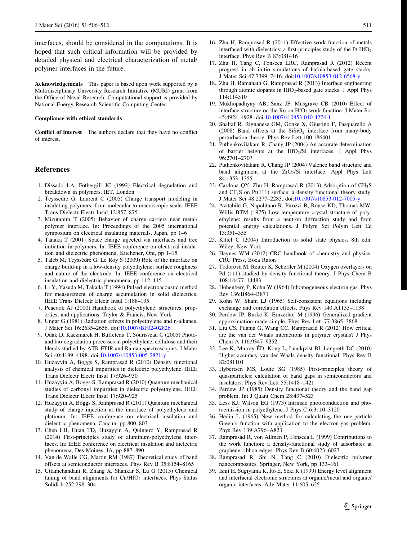<span id="page-5-0"></span>interfaces, should be considered in the computations. It is hoped that such critical information will be provided by detailed physical and electrical characterization of metal/ polymer interfaces in the future.

Acknowledgements This paper is based upon work supported by a Multidisciplinary University Research Initiative (MURI) grant from the Office of Naval Research. Computational support is provided by National Energy Research Scientific Computing Center.

#### Compliance with ethical standards

Conflict of interest The authors declare that they have no conflict of interest.

## References

- 1. Dissado LA, Fothergill JC (1992) Electrical degradation and breakdown in polymers. IET, London
- 2. Teyssedre G, Laurent C (2005) Charge transport modeling in insulating polymers: from molecular to macroscopic scale. IEEE Trans Dielectr Electr Insul 12:857–875
- 3. Mizutanim T (2005) Behavior of charge carriers near metal/ polymer interface. In: Proceedings of the 2005 international symposium on electrical insulating materials, Japan, pp 1–6
- 4. Tanaka T (2001) Space charge injected via interfaces and tree initiation in polymers. In: IEEE conference on electrical insulation and dielectric phenomena, Kitchener, Ont, pp 1–15
- 5. Taleb M, Teyssèdre G, Le Roy S (2009) Role of the interface on charge build-up in a low-density polyethylene: surface roughness and nature of the electrode. In: IEEE conference on electrical insulation and dielectric phenomena, pp 112–115
- 6. Li Y, Yasuda M, Takada T (1994) Pulsed electroacoustic method for measurement of charge accumulation in solid dielectrics. IEEE Trans Dielectr Electr Insul 1:188–195
- 7. Peacook AJ (2000) Handbook of polyethylene: structures: properties, and applications. Taylor & Francis, New York
- 8. Ungar G (1981) Radiation effects in polyethylene and n-alkanes. J Mater Sci 16:2635–2656. doi:[10.1007/BF02402826](http://dx.doi.org/10.1007/BF02402826)
- 9. Odak D, Kaczmarek H, Buffeteau T, Sourisseau C (2005) Photoand bio-degradation processes in polyethylene, cellulose and their blends studied by ATR-FTIR and Raman spectroscopies. J Mater Sci 40:4189–4198. doi[:10.1007/s10853-005-2821-y](http://dx.doi.org/10.1007/s10853-005-2821-y)
- 10. Huzayyin A, Boggs S, Ramprasad R (2010) Density functional analysis of chemical impurities in dielectric polyethylene. IEEE Trans Dielectr Electr Insul 17:926–930
- 11. Huzayyin A, Boggs S, Ramprasad R (2010) Quantum mechanical studies of carbonyl impurities in dielectric polyethylene. IEEE Trans Dielectr Electr Insul 17:920–925
- 12. Huzayyin A, Boggs S, Ramprasad R (2011) Quantum mechanical study of charge injection at the interface of polyethylene and platinum. In: IEEE conference on electrical insulation and dielectric phenomena, Cancun, pp 800–803
- 13. Chen LH, Huan TD, Huzayyin A, Quintero Y, Ramprasad R (2014) First-principles study of aluminum-polyethylene interfaces. In: IEEE conference on electrical insulation and dielectric phenomena, Des Moines, IA, pp 887–890
- 14. Van de Walle CG, Martin RM (1987) Theoretical study of band offsets at semiconductor interfaces. Phys Rev B 35:8154–8165
- 15. Uttamchandani R, Zhang X, Shankar S, Lu G (2015) Chemical tuning of band alignments for  $Cu/HfO<sub>2</sub>$  interfaces. Phys Status Solidi b 252:298–304
- 16. Zhu H, Ramprasad R (2011) Effective work function of metals interfaced with dielectrics: a first-principles study of the  $Pt-HfO<sub>2</sub>$ interface. Phys Rev B 83:081416
- 17. Zhu H, Tang C, Fonseca LRC, Ramprasad R (2012) Recent progress in ab initio simulations of hafnia-based gate stacks. J Mater Sci 47:7399–7416. doi:[10.1007/s10853-012-6568-y](http://dx.doi.org/10.1007/s10853-012-6568-y)
- 18. Zhu H, Ramanath G, Ramprasad R (2013) Interface engineering through atomic dopants in  $HfO<sub>2</sub>$ -based gate stacks. J Appl Phys 114:114310
- 19. Mukhopadhyay AB, Sanz JF, Musgrave CB (2010) Effect of interface structure on the Ru on HfO<sub>2</sub> work function. J Mater Sci 45:4924–4928. doi:[10.1007/s10853-010-4274-1](http://dx.doi.org/10.1007/s10853-010-4274-1)
- 20. Shaltaf R, Rignanese GM, Gonze X, Giustino F, Pasquarello A (2008) Band offsets at the  $SiSiO<sub>2</sub>$  interface from many-body perturbation theory. Phys Rev Lett 100:186401
- 21. Puthenkovilakam R, Chang JP (2004) An accurate determination of barrier heights at the HfO<sub>2</sub>/Si interfaces. J Appl Phys 96:2701–2707
- 22. Puthenkovilakam R, Chang JP (2004) Valence band structure and band alignment at the  $ZrO_2/Si$  interface. Appl Phys Lett 84:1353–1355
- 23. Cardona QY, Zhu H, Ramprasad R (2013) Adsorption of  $CH<sub>3</sub>S$ and  $CF_3S$  on  $Pt(111)$  surface: a density functional theory study. J Mater Sci 48:2277–2283. doi:[10.1007/s10853-012-7005-y](http://dx.doi.org/10.1007/s10853-012-7005-y)
- 24. Avitabile G, Napolitano R, Pirozzi B, Rouse KD, Thomas MW, Willis BTM (1975) Low temperature crystal structure of polyethylene: results from a neutron diffraction study and from potential energy calculations. J Polym Sci Polym Lett Ed 13:351–355
- 25. Kittel C (2004) Introduction to solid state physics, 8th edn. Wiley, New York
- 26. Haynes WM (2012) CRC handbook of chemistry and physics. CRC Press, Boca Raton
- 27. Todorova M, Reuter K, Scheffler M (2004) Oxygen overlayers on Pd (111) studied by density functional theory. J Phys Chem B 108:14477–14483
- 28. Hohenberg P, Kohn W (1964) Inhomogeneous electron gas. Phys Rev 136:B864–B871
- 29. Kohn W, Sham LJ (1965) Self-consistent equations including exchange and correlation effects. Phys Rev 140:A1133–1138
- 30. Perdew JP, Burke K, Ernzerhof M (1996) Generalized gradient approximation made simple. Phys Rev Lett 77:3865–3868
- 31. Liu CS, Pilania G, Wang CC, Ramprasad R (2012) How critical are the van der Waals interactions in polymer crystals? J Phys Chem A 116:9347–9352
- 32. Lee K, Murray E´D, Kong L, Lundqvist BI, Langreth DC (2010) Higher-accuracy van der Waals density functional. Phys Rev B 82:081101
- 33. Hybertsen MS, Louie SG (1985) First-principles theory of quasiparticles: calculation of band gaps in semiconductors and insulators. Phys Rev Lett 55:1418–1421
- 34. Perdew JP (1985) Density functional theory and the band gap problem. Int J Quant Chem 28:497–523
- 35. Less KJ, Wilson EG (1973) Intrinsic photoconduction and photoemission in polyethylene. J Phys C 6:3110–3120
- 36. Hedin L (1965) New method for calculating the one-particle Green's function with application to the electron-gas problem. Phys Rev 139:A796–A823
- 37. Ramprasad R, von Allmen P, Fonseca L (1999) Contributions to the work function: a density-functional study of adsorbates at graphene ribbon edges. Phys Rev B 60:6023–6027
- 38. Ramprasad R, Shi N, Tang C (2010) Dielectric polymer nanocomposites. Springer, New York, pp 133–161
- 39. Ishii H, Sugiyama K, Ito E, Seki K (1999) Energy level alignment and interfacial electronic structures at organic/metal and organic/ organic interfaces. Adv Mater 11:605–625